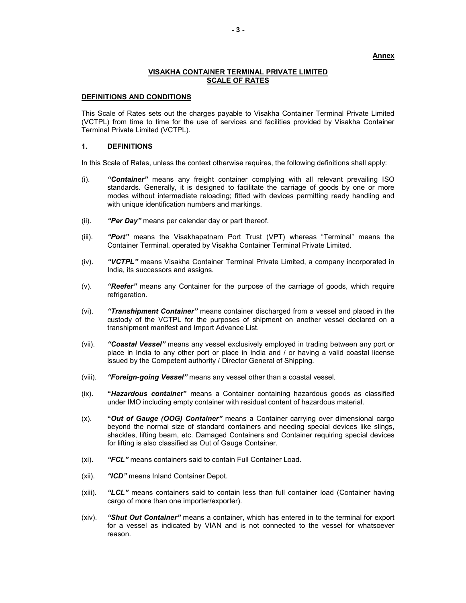#### Annex

### VISAKHA CONTAINER TERMINAL PRIVATE LIMITED SCALE OF RATES

#### DEFINITIONS AND CONDITIONS

This Scale of Rates sets out the charges payable to Visakha Container Terminal Private Limited (VCTPL) from time to time for the use of services and facilities provided by Visakha Container Terminal Private Limited (VCTPL).

#### 1. DEFINITIONS

In this Scale of Rates, unless the context otherwise requires, the following definitions shall apply:

- (i). "Container" means any freight container complying with all relevant prevailing ISO standards. Generally, it is designed to facilitate the carriage of goods by one or more modes without intermediate reloading; fitted with devices permitting ready handling and with unique identification numbers and markings.
- (ii). "Per Day" means per calendar day or part thereof.
- (iii). **"Port"** means the Visakhapatnam Port Trust (VPT) whereas "Terminal" means the Container Terminal, operated by Visakha Container Terminal Private Limited.
- (iv). "VCTPL" means Visakha Container Terminal Private Limited, a company incorporated in India, its successors and assigns.
- $(v)$ . "Reefer" means any Container for the purpose of the carriage of goods, which require refrigeration.
- (vi). **"Transhipment Container"** means container discharged from a vessel and placed in the custody of the VCTPL for the purposes of shipment on another vessel declared on a transhipment manifest and Import Advance List.
- (vii). "Coastal Vessel" means any vessel exclusively employed in trading between any port or place in India to any other port or place in India and / or having a valid coastal license issued by the Competent authority / Director General of Shipping.
- (viii). "Foreign-going Vessel" means any vessel other than a coastal vessel.
- (ix). "Hazardous container" means a Container containing hazardous goods as classified under IMO including empty container with residual content of hazardous material.
- (x). "Out of Gauge (OOG) Container" means a Container carrying over dimensional cargo beyond the normal size of standard containers and needing special devices like slings, shackles, lifting beam, etc. Damaged Containers and Container requiring special devices for lifting is also classified as Out of Gauge Container.
- (xi). "FCL" means containers said to contain Full Container Load.
- (xii). "ICD" means Inland Container Depot.
- (xiii). "LCL" means containers said to contain less than full container load (Container having cargo of more than one importer/exporter).
- (xiv). "Shut Out Container" means a container, which has entered in to the terminal for export for a vessel as indicated by VIAN and is not connected to the vessel for whatsoever reason.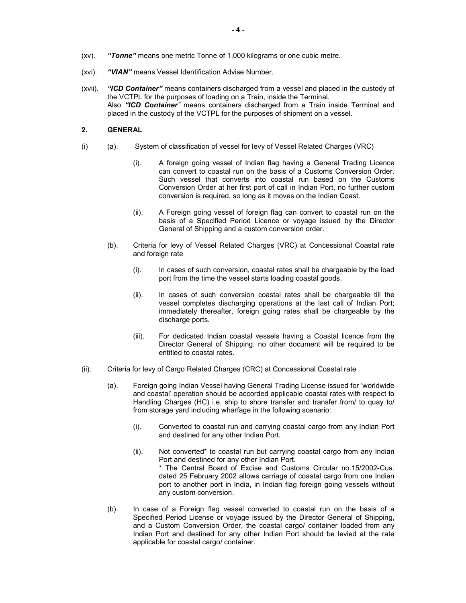- (xv). "Tonne" means one metric Tonne of 1,000 kilograms or one cubic metre.
- (xvi). "VIAN" means Vessel Identification Advise Number.
- (xvii). "ICD Container" means containers discharged from a vessel and placed in the custody of the VCTPL for the purposes of loading on a Train, inside the Terminal. Also "ICD Container" means containers discharged from a Train inside Terminal and placed in the custody of the VCTPL for the purposes of shipment on a vessel.

# 2. GENERAL

- (i) (a). System of classification of vessel for levy of Vessel Related Charges (VRC)
	- (i). A foreign going vessel of Indian flag having a General Trading Licence can convert to coastal run on the basis of a Customs Conversion Order. Such vessel that converts into coastal run based on the Customs Conversion Order at her first port of call in Indian Port, no further custom conversion is required, so long as it moves on the Indian Coast.
	- (ii). A Foreign going vessel of foreign flag can convert to coastal run on the basis of a Specified Period Licence or voyage issued by the Director General of Shipping and a custom conversion order.
	- (b). Criteria for levy of Vessel Related Charges (VRC) at Concessional Coastal rate and foreign rate
		- (i). In cases of such conversion, coastal rates shall be chargeable by the load port from the time the vessel starts loading coastal goods.
		- (ii). In cases of such conversion coastal rates shall be chargeable till the vessel completes discharging operations at the last call of Indian Port; immediately thereafter, foreign going rates shall be chargeable by the discharge ports.
		- (iii). For dedicated Indian coastal vessels having a Coastal licence from the Director General of Shipping, no other document will be required to be entitled to coastal rates.
- (ii). Criteria for levy of Cargo Related Charges (CRC) at Concessional Coastal rate
	- (a). Foreign going Indian Vessel having General Trading License issued for 'worldwide and coastal' operation should be accorded applicable coastal rates with respect to Handling Charges (HC) i.e. ship to shore transfer and transfer from/ to quay to/ from storage yard including wharfage in the following scenario:
		- (i). Converted to coastal run and carrying coastal cargo from any Indian Port and destined for any other Indian Port.
		- (ii). Not converted\* to coastal run but carrying coastal cargo from any Indian Port and destined for any other Indian Port. \* The Central Board of Excise and Customs Circular no.15/2002-Cus. dated 25 February 2002 allows carriage of coastal cargo from one Indian port to another port in India, in Indian flag foreign going vessels without any custom conversion.
	- (b). In case of a Foreign flag vessel converted to coastal run on the basis of a Specified Period License or voyage issued by the Director General of Shipping, and a Custom Conversion Order, the coastal cargo/ container loaded from any Indian Port and destined for any other Indian Port should be levied at the rate applicable for coastal cargo/ container.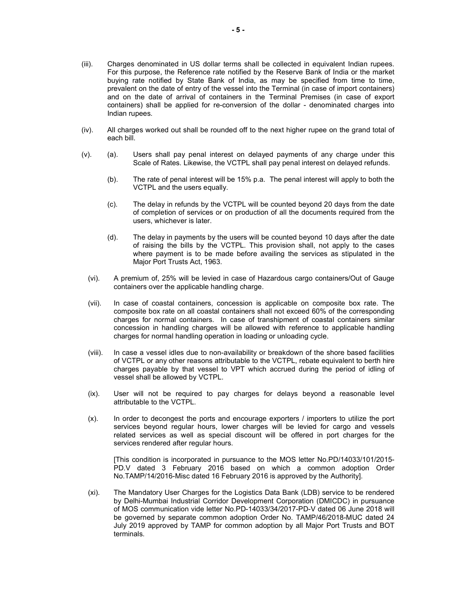- (iii). Charges denominated in US dollar terms shall be collected in equivalent Indian rupees. For this purpose, the Reference rate notified by the Reserve Bank of India or the market buying rate notified by State Bank of India, as may be specified from time to time, prevalent on the date of entry of the vessel into the Terminal (in case of import containers) and on the date of arrival of containers in the Terminal Premises (in case of export containers) shall be applied for re-conversion of the dollar - denominated charges into Indian rupees.
- (iv). All charges worked out shall be rounded off to the next higher rupee on the grand total of each bill.
- (v). (a). Users shall pay penal interest on delayed payments of any charge under this Scale of Rates. Likewise, the VCTPL shall pay penal interest on delayed refunds.
	- (b). The rate of penal interest will be 15% p.a. The penal interest will apply to both the VCTPL and the users equally.
	- (c). The delay in refunds by the VCTPL will be counted beyond 20 days from the date of completion of services or on production of all the documents required from the users, whichever is later.
	- (d). The delay in payments by the users will be counted beyond 10 days after the date of raising the bills by the VCTPL. This provision shall, not apply to the cases where payment is to be made before availing the services as stipulated in the Major Port Trusts Act, 1963.
	- (vi). A premium of, 25% will be levied in case of Hazardous cargo containers/Out of Gauge containers over the applicable handling charge.
	- (vii). In case of coastal containers, concession is applicable on composite box rate. The composite box rate on all coastal containers shall not exceed 60% of the corresponding charges for normal containers. In case of transhipment of coastal containers similar concession in handling charges will be allowed with reference to applicable handling charges for normal handling operation in loading or unloading cycle.
	- (viii). In case a vessel idles due to non-availability or breakdown of the shore based facilities of VCTPL or any other reasons attributable to the VCTPL, rebate equivalent to berth hire charges payable by that vessel to VPT which accrued during the period of idling of vessel shall be allowed by VCTPL.
	- (ix). User will not be required to pay charges for delays beyond a reasonable level attributable to the VCTPL.
	- (x). In order to decongest the ports and encourage exporters / importers to utilize the port services beyond regular hours, lower charges will be levied for cargo and vessels related services as well as special discount will be offered in port charges for the services rendered after regular hours.

[This condition is incorporated in pursuance to the MOS letter No.PD/14033/101/2015- PD.V dated 3 February 2016 based on which a common adoption Order No.TAMP/14/2016-Misc dated 16 February 2016 is approved by the Authority].

(xi). The Mandatory User Charges for the Logistics Data Bank (LDB) service to be rendered by Delhi-Mumbai Industrial Corridor Development Corporation (DMICDC) in pursuance of MOS communication vide letter No.PD-14033/34/2017-PD-V dated 06 June 2018 will be governed by separate common adoption Order No. TAMP/46/2018-MUC dated 24 July 2019 approved by TAMP for common adoption by all Major Port Trusts and BOT terminals.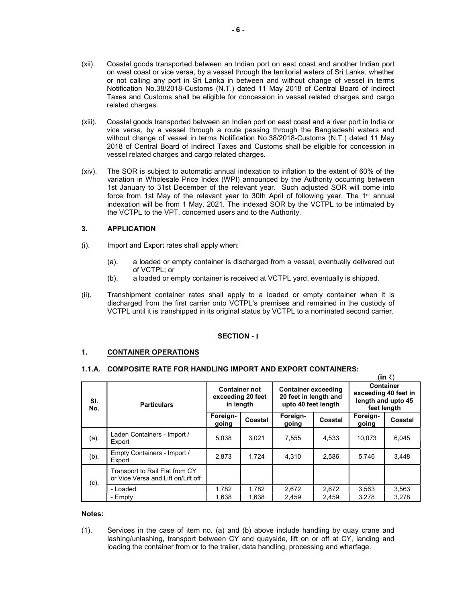- (xii). Coastal goods transported between an Indian port on east coast and another Indian port on west coast or vice versa, by a vessel through the territorial waters of Sri Lanka, whether or not calling any port in Sri Lanka in between and without change of vessel in terms Notification No.38/2018-Customs (N.T.) dated 11 May 2018 of Central Board of Indirect Taxes and Customs shall be eligible for concession in vessel related charges and cargo related charges.
- (xiii). Coastal goods transported between an Indian port on east coast and a river port in India or vice versa, by a vessel through a route passing through the Bangladeshi waters and without change of vessel in terms Notification No.38/2018-Customs (N.T.) dated 11 May 2018 of Central Board of Indirect Taxes and Customs shall be eligible for concession in vessel related charges and cargo related charges.
- (xiv). The SOR is subject to automatic annual indexation to inflation to the extent of 60% of the variation in Wholesale Price Index (WPI) announced by the Authority occurring between 1st January to 31st December of the relevant year. Such adjusted SOR will come into force from 1st May of the relevant year to 30th April of following year. The 1<sup>st</sup> annual indexation will be from 1 May, 2021. The indexed SOR by the VCTPL to be intimated by the VCTPL to the VPT, concerned users and to the Authority.

# 3. APPLICATION

- (i). Import and Export rates shall apply when:
	- (a). a loaded or empty container is discharged from a vessel, eventually delivered out of VCTPL; or
	- (b). a loaded or empty container is received at VCTPL yard, eventually is shipped.
- (ii). Transhipment container rates shall apply to a loaded or empty container when it is discharged from the first carrier onto VCTPL's premises and remained in the custody of VCTPL until it is transhipped in its original status by VCTPL to a nominated second carrier.

# SECTION - I

## 1. CONTAINER OPERATIONS

## 1.1.A. COMPOSITE RATE FOR HANDLING IMPORT AND EXPORT CONTAINERS:

|            |                                                                      |                                                        |         |                                                                            |         |                                                                               | (III K) |
|------------|----------------------------------------------------------------------|--------------------------------------------------------|---------|----------------------------------------------------------------------------|---------|-------------------------------------------------------------------------------|---------|
| SI.<br>No. | <b>Particulars</b>                                                   | <b>Container not</b><br>exceeding 20 feet<br>in length |         | <b>Container exceeding</b><br>20 feet in length and<br>upto 40 feet length |         | <b>Container</b><br>exceeding 40 feet in<br>length and upto 45<br>feet length |         |
|            |                                                                      | Foreign-<br>going                                      | Coastal | Foreign-<br>going                                                          | Coastal | Foreign-<br>going                                                             | Coastal |
| (a).       | Laden Containers - Import /<br>Export                                | 5.038                                                  | 3.021   | 7.555                                                                      | 4.533   | 10.073                                                                        | 6,045   |
| $(b)$ .    | Empty Containers - Import /<br>Export                                | 2.873                                                  | 1.724   | 4.310                                                                      | 2,586   | 5,746                                                                         | 3.448   |
| (c).       | Transport to Rail Flat from CY<br>or Vice Versa and Lift on/Lift off |                                                        |         |                                                                            |         |                                                                               |         |
|            | - Loaded                                                             | 1,782                                                  | 1.782   | 2,672                                                                      | 2,672   | 3,563                                                                         | 3,563   |
|            | - Empty                                                              | 1.638                                                  | 1.638   | 2.459                                                                      | 2.459   | 3.278                                                                         | 3.278   |

 $\lim_{n \to \infty}$ 

#### Notes:

(1). Services in the case of item no. (a) and (b) above include handling by quay crane and lashing/unlashing, transport between CY and quayside, lift on or off at CY, landing and loading the container from or to the trailer, data handling, processing and wharfage.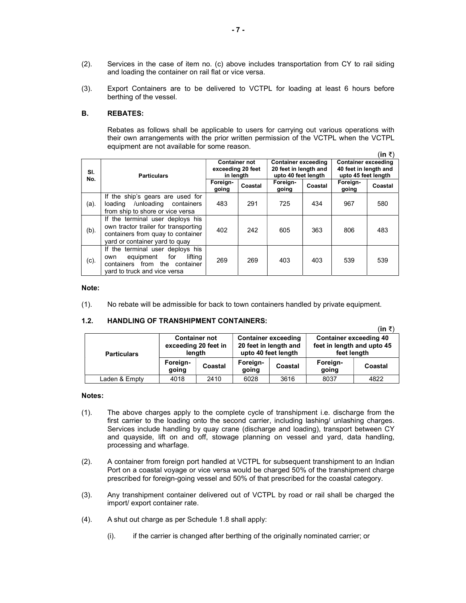- (2). Services in the case of item no. (c) above includes transportation from CY to rail siding and loading the container on rail flat or vice versa.
- (3). Export Containers are to be delivered to VCTPL for loading at least 6 hours before berthing of the vessel.

# B. REBATES:

Rebates as follows shall be applicable to users for carrying out various operations with their own arrangements with the prior written permission of the VCTPL when the VCTPL equipment are not available for some reason.

 $(in \; \bar{\tau})$ 

 $(1 - \pi)$ 

| SI.<br>No. | <b>Particulars</b>                                                                                                                              | <b>Container not</b><br>exceeding 20 feet<br>in length |         | <b>Container exceeding</b><br>20 feet in length and<br>upto 40 feet length |         | <b>Container exceeding</b><br>40 feet in length and<br>upto 45 feet length |         |
|------------|-------------------------------------------------------------------------------------------------------------------------------------------------|--------------------------------------------------------|---------|----------------------------------------------------------------------------|---------|----------------------------------------------------------------------------|---------|
|            |                                                                                                                                                 | Foreign-<br>going                                      | Coastal | Foreign-<br>going                                                          | Coastal | Foreign-<br>going                                                          | Coastal |
| (a).       | If the ship's gears are used for<br>loading /unloading containers<br>from ship to shore or vice versa                                           | 483                                                    | 291     | 725                                                                        | 434     | 967                                                                        | 580     |
| (b).       | If the terminal user deploys his<br>own tractor trailer for transporting<br>containers from quay to container<br>yard or container yard to quay | 402                                                    | 242     | 605                                                                        | 363     | 806                                                                        | 483     |
| (c).       | If the terminal user deploys his<br>lifting<br>equipment<br>for<br>own<br>containers from the container<br>vard to truck and vice versa         | 269                                                    | 269     | 403                                                                        | 403     | 539                                                                        | 539     |

### Note:

(1). No rebate will be admissible for back to town containers handled by private equipment.

# 1.2. HANDLING OF TRANSHIPMENT CONTAINERS:

|                    |                                                        |         |                                                                            |         |                                                                            | (IN RI  |
|--------------------|--------------------------------------------------------|---------|----------------------------------------------------------------------------|---------|----------------------------------------------------------------------------|---------|
| <b>Particulars</b> | <b>Container not</b><br>exceeding 20 feet in<br>length |         | <b>Container exceeding</b><br>20 feet in length and<br>upto 40 feet length |         | <b>Container exceeding 40</b><br>feet in length and upto 45<br>feet length |         |
|                    | Foreign-<br>going                                      | Coastal | Foreign-<br>going                                                          | Coastal | Foreign-<br>going                                                          | Coastal |
| Laden & Empty      | 4018                                                   | 2410    | 6028                                                                       | 3616    | 8037                                                                       | 4822    |

#### Notes:

- (1). The above charges apply to the complete cycle of transhipment i.e. discharge from the first carrier to the loading onto the second carrier, including lashing/ unlashing charges. Services include handling by quay crane (discharge and loading), transport between CY and quayside, lift on and off, stowage planning on vessel and yard, data handling, processing and wharfage.
- (2). A container from foreign port handled at VCTPL for subsequent transhipment to an Indian Port on a coastal voyage or vice versa would be charged 50% of the transhipment charge prescribed for foreign-going vessel and 50% of that prescribed for the coastal category.
- (3). Any transhipment container delivered out of VCTPL by road or rail shall be charged the import/ export container rate.
- (4). A shut out charge as per Schedule 1.8 shall apply:
	- (i). if the carrier is changed after berthing of the originally nominated carrier; or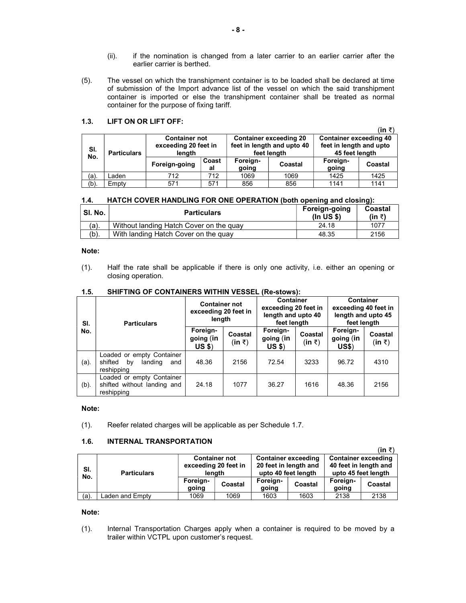- (ii). if the nomination is changed from a later carrier to an earlier carrier after the earlier carrier is berthed.
- (5). The vessel on which the transhipment container is to be loaded shall be declared at time of submission of the Import advance list of the vessel on which the said transhipment container is imported or else the transhipment container shall be treated as normal container for the purpose of fixing tariff.

# 1.3. LIFT ON OR LIFT OFF:

|            |                    |                                                        |             |                   |                                                                            |                                                                            | (in ₹)  |
|------------|--------------------|--------------------------------------------------------|-------------|-------------------|----------------------------------------------------------------------------|----------------------------------------------------------------------------|---------|
| SI.<br>No. | <b>Particulars</b> | <b>Container not</b><br>exceeding 20 feet in<br>length |             |                   | <b>Container exceeding 20</b><br>feet in length and upto 40<br>feet length | <b>Container exceeding 40</b><br>feet in length and upto<br>45 feet length |         |
|            |                    | Foreign-going                                          | Coast<br>al | Foreign-<br>going | Coastal                                                                    | Foreign-<br>going                                                          | Coastal |
| (a).       | _aden              | 712                                                    | 712         | 1069              | 1069                                                                       | 1425                                                                       | 1425    |
| (b)        | Empty              | 571                                                    | 571         | 856               | 856                                                                        | 1141                                                                       | 1141    |

# 1.4. HATCH COVER HANDLING FOR ONE OPERATION (both opening and closing):

| ˈ SI. No. | <b>Particulars</b>                      | Foreign-going<br>(ln US \$) | Coastal<br>(in ₹) |
|-----------|-----------------------------------------|-----------------------------|-------------------|
| $(a)$ .   | Without landing Hatch Cover on the guay | 24.18                       | 1077              |
| $(b)$ .   | With landing Hatch Cover on the guay    | 48.35                       | 2156              |

# Note:

(1). Half the rate shall be applicable if there is only one activity, i.e. either an opening or closing operation.

| SI.     | <b>Particulars</b>                                                         | <b>Container not</b><br>exceeding 20 feet in<br>length |                                 | <b>Container</b><br>exceeding 20 feet in<br>length and upto 40<br>feet length |                                 | <b>Container</b><br>exceeding 40 feet in<br>length and upto 45<br>feet length |                              |
|---------|----------------------------------------------------------------------------|--------------------------------------------------------|---------------------------------|-------------------------------------------------------------------------------|---------------------------------|-------------------------------------------------------------------------------|------------------------------|
| No.     |                                                                            | Foreign-<br>going (in<br>$US$ \$)                      | Coastal<br>$(in \; \bar{\tau})$ | Foreign-<br>going (in<br>$US$ \$)                                             | Coastal<br>$(in \; \bar{\tau})$ | Foreign-<br>going (in<br><b>US\$)</b>                                         | Coastal<br>$(in \bar{\tau})$ |
| (a).    | Loaded or empty Container<br>landing<br>shifted<br>by<br>and<br>reshipping | 48.36                                                  | 2156                            | 72.54                                                                         | 3233                            | 96.72                                                                         | 4310                         |
| $(b)$ . | Loaded or empty Container<br>shifted without landing and<br>reshipping     | 24.18                                                  | 1077                            | 36.27                                                                         | 1616                            | 48.36                                                                         | 2156                         |

# 1.5. SHIFTING OF CONTAINERS WITHIN VESSEL (Re-stows):

# Note:

(1). Reefer related charges will be applicable as per Schedule 1.7.

# 1.6. INTERNAL TRANSPORTATION

|            |                    |                                |                      |                       |                            |                            | (in ₹)  |  |
|------------|--------------------|--------------------------------|----------------------|-----------------------|----------------------------|----------------------------|---------|--|
|            | <b>Particulars</b> |                                | <b>Container not</b> |                       | <b>Container exceeding</b> | <b>Container exceeding</b> |         |  |
| SI.<br>No. |                    | exceeding 20 feet in<br>lenath |                      | 20 feet in length and |                            | 40 feet in length and      |         |  |
|            |                    |                                |                      | upto 40 feet length   |                            | upto 45 feet length        |         |  |
|            |                    | Foreign-<br>going              | Coastal              | Foreign-<br>going     | Coastal                    | Foreign-<br>going          | Coastal |  |
| $(a)$ .    | Laden and Emptv    | 1069                           | 1069                 | 1603                  | 1603                       | 2138                       | 2138    |  |

## Note:

(1). Internal Transportation Charges apply when a container is required to be moved by a trailer within VCTPL upon customer's request.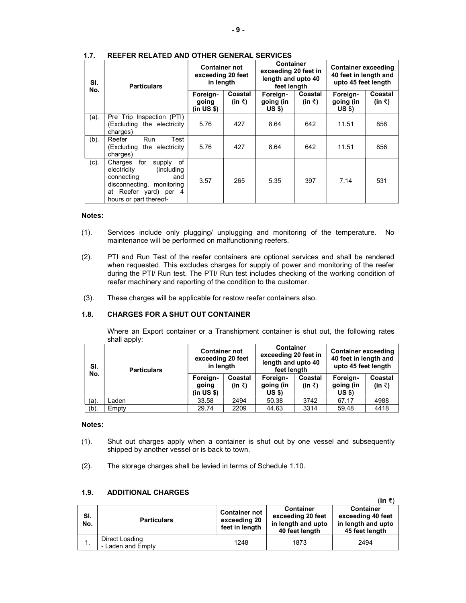| SI.<br>No. | <b>Particulars</b>                                                                                                                                              | <b>Container not</b><br>exceeding 20 feet<br>in length |                   | <b>Container</b><br>exceeding 20 feet in<br>length and upto 40<br>feet length |                   | <b>Container exceeding</b><br>40 feet in length and<br>upto 45 feet length |                   |
|------------|-----------------------------------------------------------------------------------------------------------------------------------------------------------------|--------------------------------------------------------|-------------------|-------------------------------------------------------------------------------|-------------------|----------------------------------------------------------------------------|-------------------|
|            |                                                                                                                                                                 | Foreign-<br>going<br>(in US \$)                        | Coastal<br>(in ₹) | Foreign-<br>going (in<br><b>US \$)</b>                                        | Coastal<br>(in ₹) | Foreign-<br>going (in<br>US \$)                                            | Coastal<br>(in ₹) |
| (a).       | Pre Trip Inspection (PTI)<br>(Excluding the electricity<br>charges)                                                                                             | 5.76                                                   | 427               | 8.64                                                                          | 642               | 11.51                                                                      | 856               |
| (b).       | Reefer<br><b>Run</b><br>Test<br>(Excluding the electricity<br>charges)                                                                                          | 5.76                                                   | 427               | 8.64                                                                          | 642               | 11.51                                                                      | 856               |
| $(c)$ .    | Charges for<br>supply of<br>electricity<br>(including)<br>connecting<br>and<br>disconnecting, monitoring<br>at Reefer yard) per<br>-4<br>hours or part thereof- | 3.57                                                   | 265               | 5.35                                                                          | 397               | 7.14                                                                       | 531               |

### 1.7. REEFER RELATED AND OTHER GENERAL SERVICES

# Notes:

- (1). Services include only plugging/ unplugging and monitoring of the temperature. No maintenance will be performed on malfunctioning reefers.
- (2). PTI and Run Test of the reefer containers are optional services and shall be rendered when requested. This excludes charges for supply of power and monitoring of the reefer during the PTI/ Run test. The PTI/ Run test includes checking of the working condition of reefer machinery and reporting of the condition to the customer.
- (3). These charges will be applicable for restow reefer containers also.

# 1.8. CHARGES FOR A SHUT OUT CONTAINER

Where an Export container or a Transhipment container is shut out, the following rates shall apply:

| SI.     | <b>Particulars</b> | <b>Container not</b><br>exceeding 20 feet<br>in length |                   | <b>Container</b><br>exceeding 20 feet in<br>length and upto 40<br>feet length |                   | <b>Container exceeding</b><br>40 feet in length and<br>upto 45 feet length |                   |
|---------|--------------------|--------------------------------------------------------|-------------------|-------------------------------------------------------------------------------|-------------------|----------------------------------------------------------------------------|-------------------|
| No.     |                    | Foreign-<br>going<br>(in US \$)                        | Coastal<br>(in ₹) | Foreign-<br>going (in<br>US \$)                                               | Coastal<br>(in ₹) | Foreign-<br>going (in<br>US \$)                                            | Coastal<br>(in ₹) |
| $(a)$ . | Laden              | 33.58                                                  | 2494              | 50.38                                                                         | 3742              | 67.17                                                                      | 4988              |
| $(b)$ . | Empty              | 29.74                                                  | 2209              | 44.63                                                                         | 3314              | 59.48                                                                      | 4418              |

#### Notes:

- (1). Shut out charges apply when a container is shut out by one vessel and subsequently shipped by another vessel or is back to town.
- (2). The storage charges shall be levied in terms of Schedule 1.10.

# 1.9. ADDITIONAL CHARGES

|            |                                     |                                                        |                                                                               | (in ₹)                                                                        |
|------------|-------------------------------------|--------------------------------------------------------|-------------------------------------------------------------------------------|-------------------------------------------------------------------------------|
| SI.<br>No. | <b>Particulars</b>                  | <b>Container not</b><br>exceeding 20<br>feet in length | <b>Container</b><br>exceeding 20 feet<br>in length and upto<br>40 feet length | <b>Container</b><br>exceeding 40 feet<br>in length and upto<br>45 feet length |
|            | Direct Loading<br>- Laden and Empty | 1248                                                   | 1873                                                                          | 2494                                                                          |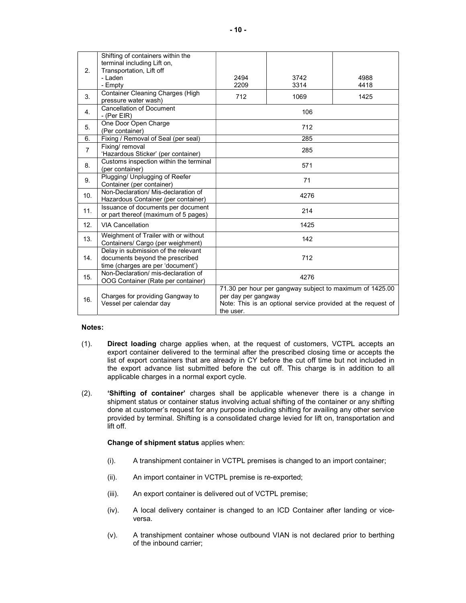|                | Shifting of containers within the<br>terminal including Lift on,          |                                                              |                                                          |      |  |  |
|----------------|---------------------------------------------------------------------------|--------------------------------------------------------------|----------------------------------------------------------|------|--|--|
| 2.             | Transportation, Lift off<br>- Laden                                       | 2494                                                         | 3742                                                     | 4988 |  |  |
|                | - Empty                                                                   | 2209                                                         | 3314                                                     | 4418 |  |  |
|                | Container Cleaning Charges (High                                          |                                                              |                                                          |      |  |  |
| 3.             | pressure water wash)                                                      | 712                                                          | 1069                                                     | 1425 |  |  |
| 4.             | <b>Cancellation of Document</b>                                           |                                                              | 106                                                      |      |  |  |
|                | - $(Per EIR)$                                                             |                                                              |                                                          |      |  |  |
| 5.             | One Door Open Charge                                                      |                                                              | 712                                                      |      |  |  |
|                | (Per container)                                                           |                                                              |                                                          |      |  |  |
| 6.             | Fixing / Removal of Seal (per seal)<br>Fixing/ removal                    |                                                              | 285                                                      |      |  |  |
| $\overline{7}$ | 'Hazardous Sticker' (per container)                                       |                                                              | 285                                                      |      |  |  |
|                | Customs inspection within the terminal                                    |                                                              |                                                          |      |  |  |
| 8.             | (per container)                                                           | 571                                                          |                                                          |      |  |  |
| 9.             | Plugging/ Unplugging of Reefer                                            | 71                                                           |                                                          |      |  |  |
|                | Container (per container)                                                 |                                                              |                                                          |      |  |  |
| 10.            | Non-Declaration/ Mis-declaration of                                       |                                                              | 4276                                                     |      |  |  |
|                | Hazardous Container (per container)<br>Issuance of documents per document |                                                              |                                                          |      |  |  |
| 11.            | or part thereof (maximum of 5 pages)                                      |                                                              | 214                                                      |      |  |  |
| 12.            | <b>VIA Cancellation</b>                                                   |                                                              | 1425                                                     |      |  |  |
|                |                                                                           |                                                              |                                                          |      |  |  |
| 13.            | Weighment of Trailer with or without                                      |                                                              | 142                                                      |      |  |  |
|                | Containers/ Cargo (per weighment)<br>Delay in submission of the relevant  |                                                              |                                                          |      |  |  |
| 14.            | documents beyond the prescribed                                           |                                                              | 712                                                      |      |  |  |
|                | time (charges are per 'document')                                         |                                                              |                                                          |      |  |  |
| 15.            | Non-Declaration/ mis-declaration of                                       |                                                              | 4276                                                     |      |  |  |
|                | OOG Container (Rate per container)                                        |                                                              |                                                          |      |  |  |
|                |                                                                           |                                                              | 71.30 per hour per gangway subject to maximum of 1425.00 |      |  |  |
| 16.            | Charges for providing Gangway to                                          | per day per gangway                                          |                                                          |      |  |  |
|                | Vessel per calendar day                                                   | Note: This is an optional service provided at the request of |                                                          |      |  |  |
|                |                                                                           | the user.                                                    |                                                          |      |  |  |

## Notes:

- (1). Direct loading charge applies when, at the request of customers, VCTPL accepts an export container delivered to the terminal after the prescribed closing time or accepts the list of export containers that are already in CY before the cut off time but not included in the export advance list submitted before the cut off. This charge is in addition to all applicable charges in a normal export cycle.
- (2). 'Shifting of container' charges shall be applicable whenever there is a change in shipment status or container status involving actual shifting of the container or any shifting done at customer's request for any purpose including shifting for availing any other service provided by terminal. Shifting is a consolidated charge levied for lift on, transportation and lift off.

Change of shipment status applies when:

- (i). A transhipment container in VCTPL premises is changed to an import container;
- (ii). An import container in VCTPL premise is re-exported;
- (iii). An export container is delivered out of VCTPL premise;
- (iv). A local delivery container is changed to an ICD Container after landing or viceversa.
- (v). A transhipment container whose outbound VIAN is not declared prior to berthing of the inbound carrier;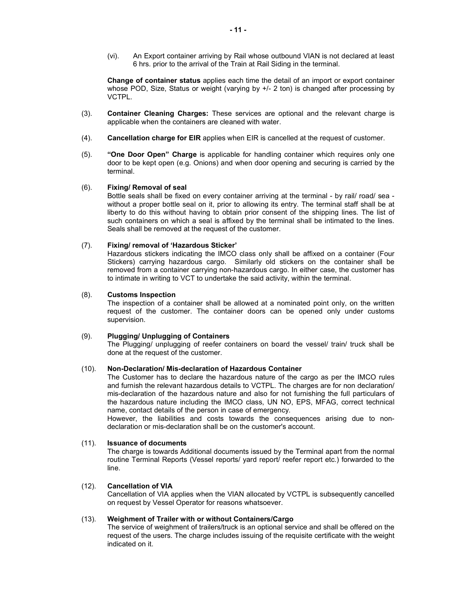(vi). An Export container arriving by Rail whose outbound VIAN is not declared at least 6 hrs. prior to the arrival of the Train at Rail Siding in the terminal.

Change of container status applies each time the detail of an import or export container whose POD, Size, Status or weight (varying by +/- 2 ton) is changed after processing by VCTPL.

- (3). Container Cleaning Charges: These services are optional and the relevant charge is applicable when the containers are cleaned with water.
- (4). Cancellation charge for EIR applies when EIR is cancelled at the request of customer.
- (5). "One Door Open" Charge is applicable for handling container which requires only one door to be kept open (e.g. Onions) and when door opening and securing is carried by the terminal.

# (6). Fixing/ Removal of seal

Bottle seals shall be fixed on every container arriving at the terminal - by rail/ road/ sea without a proper bottle seal on it, prior to allowing its entry. The terminal staff shall be at liberty to do this without having to obtain prior consent of the shipping lines. The list of such containers on which a seal is affixed by the terminal shall be intimated to the lines. Seals shall be removed at the request of the customer.

### (7). Fixing/ removal of 'Hazardous Sticker'

 Hazardous stickers indicating the IMCO class only shall be affixed on a container (Four Stickers) carrying hazardous cargo. Similarly old stickers on the container shall be removed from a container carrying non-hazardous cargo. In either case, the customer has to intimate in writing to VCT to undertake the said activity, within the terminal.

#### (8). Customs Inspection

 The inspection of a container shall be allowed at a nominated point only, on the written request of the customer. The container doors can be opened only under customs supervision.

# (9). Plugging/ Unplugging of Containers

The Plugging/ unplugging of reefer containers on board the vessel/ train/ truck shall be done at the request of the customer.

# (10). Non-Declaration/ Mis-declaration of Hazardous Container

The Customer has to declare the hazardous nature of the cargo as per the IMCO rules and furnish the relevant hazardous details to VCTPL. The charges are for non declaration/ mis-declaration of the hazardous nature and also for not furnishing the full particulars of the hazardous nature including the IMCO class, UN NO, EPS, MFAG, correct technical name, contact details of the person in case of emergency.

However, the liabilities and costs towards the consequences arising due to nondeclaration or mis-declaration shall be on the customer's account.

#### (11). Issuance of documents

The charge is towards Additional documents issued by the Terminal apart from the normal routine Terminal Reports (Vessel reports/ yard report/ reefer report etc.) forwarded to the line.

#### (12). Cancellation of VIA

Cancellation of VIA applies when the VIAN allocated by VCTPL is subsequently cancelled on request by Vessel Operator for reasons whatsoever.

# (13). Weighment of Trailer with or without Containers/Cargo

The service of weighment of trailers/truck is an optional service and shall be offered on the request of the users. The charge includes issuing of the requisite certificate with the weight indicated on it.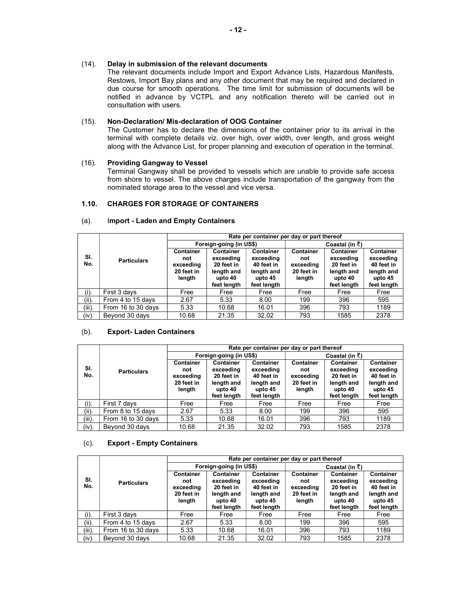The relevant documents include Import and Export Advance Lists, Hazardous Manifests, Restows, Import Bay plans and any other document that may be required and declared in due course for smooth operations. The time limit for submission of documents will be notified in advance by VCTPL and any notification thereto will be carried out in consultation with users.

# (15). Non-Declaration/ Mis-declaration of OOG Container

The Customer has to declare the dimensions of the container prior to its arrival in the terminal with complete details viz. over high, over width, over length, and gross weight along with the Advance List, for proper planning and execution of operation in the terminal.

# (16). Providing Gangway to Vessel

Terminal Gangway shall be provided to vessels which are unable to provide safe access from shore to vessel. The above charges include transportation of the gangway from the nominated storage area to the vessel and vice versa.

# 1.10. CHARGES FOR STORAGE OF CONTAINERS

|            |                    |                                                              |                                                                              | Rate per container per day or part thereof                                          |                                                              |                                                                              |                                                                              |  |
|------------|--------------------|--------------------------------------------------------------|------------------------------------------------------------------------------|-------------------------------------------------------------------------------------|--------------------------------------------------------------|------------------------------------------------------------------------------|------------------------------------------------------------------------------|--|
|            |                    |                                                              | Foreign-going (in US\$)                                                      |                                                                                     | Coastal (in $\bar{z}$ )                                      |                                                                              |                                                                              |  |
| SI.<br>No. | <b>Particulars</b> | <b>Container</b><br>not<br>exceeding<br>20 feet in<br>length | Container<br>exceeding<br>20 feet in<br>length and<br>upto 40<br>feet length | <b>Container</b><br>exceeding<br>40 feet in<br>length and<br>upto 45<br>feet length | <b>Container</b><br>not<br>exceeding<br>20 feet in<br>length | Container<br>exceedina<br>20 feet in<br>length and<br>upto 40<br>feet length | Container<br>exceeding<br>40 feet in<br>length and<br>upto 45<br>feet length |  |
| (i).       | First 3 days       | Free                                                         | Free                                                                         | Free                                                                                | Free                                                         | Free                                                                         | Free                                                                         |  |
| (ii).      | From 4 to 15 days  | 2.67                                                         | 5.33                                                                         | 8.00                                                                                | 199                                                          | 396                                                                          | 595                                                                          |  |
| $(iii)$ .  | From 16 to 30 days | 5.33                                                         | 10.68                                                                        | 16.01                                                                               | 396                                                          | 793                                                                          | 1189                                                                         |  |
| (iv).      | Bevond 30 days     | 10.68                                                        | 21.35                                                                        | 32.02                                                                               | 793                                                          | 1585                                                                         | 2378                                                                         |  |

## (a). Import - Laden and Empty Containers

## (b). Export- Laden Containers

|            |                    | Rate per container per day or part thereof                   |                                                                              |                                                                                     |                                                              |                                                                              |                                                                              |  |  |
|------------|--------------------|--------------------------------------------------------------|------------------------------------------------------------------------------|-------------------------------------------------------------------------------------|--------------------------------------------------------------|------------------------------------------------------------------------------|------------------------------------------------------------------------------|--|--|
|            |                    | Foreign-going (in US\$)                                      |                                                                              |                                                                                     | Coastal (in ₹)                                               |                                                                              |                                                                              |  |  |
| SI.<br>No. | <b>Particulars</b> | <b>Container</b><br>not<br>exceeding<br>20 feet in<br>length | Container<br>exceeding<br>20 feet in<br>length and<br>upto 40<br>feet length | <b>Container</b><br>exceeding<br>40 feet in<br>length and<br>upto 45<br>feet length | <b>Container</b><br>not<br>exceeding<br>20 feet in<br>length | Container<br>exceeding<br>20 feet in<br>length and<br>upto 40<br>feet length | Container<br>exceeding<br>40 feet in<br>length and<br>upto 45<br>feet length |  |  |
| (i).       | First 7 days       | Free                                                         | Free                                                                         | Free                                                                                | Free                                                         | Free                                                                         | Free                                                                         |  |  |
| (ii).      | From 8 to 15 days  | 2.67                                                         | 5.33                                                                         | 8.00                                                                                | 199                                                          | 396                                                                          | 595                                                                          |  |  |
| (iii).     | From 16 to 30 days | 5.33                                                         | 10.68                                                                        | 16.01                                                                               | 396                                                          | 793                                                                          | 1189                                                                         |  |  |
| $(iv)$ .   | Bevond 30 days     | 10.68                                                        | 21.35                                                                        | 32.02                                                                               | 793                                                          | 1585                                                                         | 2378                                                                         |  |  |

## (c). Export - Empty Containers

|            |                    | Rate per container per day or part thereof            |                                                                              |                                                                              |                                                       |                                                                              |                                                                              |  |  |
|------------|--------------------|-------------------------------------------------------|------------------------------------------------------------------------------|------------------------------------------------------------------------------|-------------------------------------------------------|------------------------------------------------------------------------------|------------------------------------------------------------------------------|--|--|
|            |                    | Foreign-going (in US\$)                               |                                                                              |                                                                              | Coastal (in $\bar{z}$ )                               |                                                                              |                                                                              |  |  |
| SI.<br>No. | <b>Particulars</b> | Container<br>not<br>exceeding<br>20 feet in<br>length | Container<br>exceeding<br>20 feet in<br>length and<br>upto 40<br>feet length | Container<br>exceeding<br>40 feet in<br>length and<br>upto 45<br>feet length | Container<br>not<br>exceeding<br>20 feet in<br>length | Container<br>exceeding<br>20 feet in<br>length and<br>upto 40<br>feet length | Container<br>exceeding<br>40 feet in<br>length and<br>upto 45<br>feet length |  |  |
| $(i)$ .    | First 3 days       | Free                                                  | Free                                                                         | Free                                                                         | Free                                                  | Free                                                                         | Free                                                                         |  |  |
| (ii).      | From 4 to 15 days  | 2.67                                                  | 5.33                                                                         | 8.00                                                                         | 199                                                   | 396                                                                          | 595                                                                          |  |  |
| (iii).     | From 16 to 30 days | 5.33                                                  | 10.68                                                                        | 16.01                                                                        | 396                                                   | 793                                                                          | 1189                                                                         |  |  |
| $(iv)$ .   | Beyond 30 days     | 10.68                                                 | 21.35                                                                        | 32.02                                                                        | 793                                                   | 1585                                                                         | 2378                                                                         |  |  |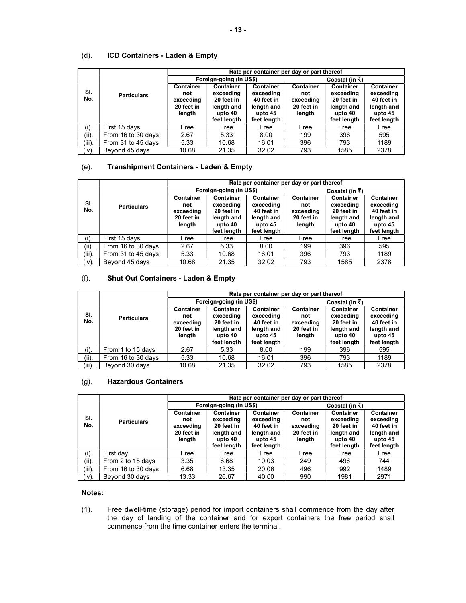# (d). ICD Containers - Laden & Empty

|            |                    | Rate per container per day or part thereof                   |                                                                              |                                                                                     |                                                              |                                                                                     |                                                                                     |  |  |
|------------|--------------------|--------------------------------------------------------------|------------------------------------------------------------------------------|-------------------------------------------------------------------------------------|--------------------------------------------------------------|-------------------------------------------------------------------------------------|-------------------------------------------------------------------------------------|--|--|
|            |                    | Foreign-going (in US\$)                                      |                                                                              |                                                                                     | Coastal (in $\bar{z}$ )                                      |                                                                                     |                                                                                     |  |  |
| SI.<br>No. | <b>Particulars</b> | <b>Container</b><br>not<br>exceeding<br>20 feet in<br>length | Container<br>exceeding<br>20 feet in<br>length and<br>upto 40<br>feet length | <b>Container</b><br>exceeding<br>40 feet in<br>length and<br>upto 45<br>feet length | <b>Container</b><br>not<br>exceeding<br>20 feet in<br>length | <b>Container</b><br>exceeding<br>20 feet in<br>length and<br>upto 40<br>feet length | <b>Container</b><br>exceeding<br>40 feet in<br>length and<br>upto 45<br>feet length |  |  |
| $(i)$ .    | First 15 days      | Free                                                         | Free                                                                         | Free                                                                                | Free                                                         | Free                                                                                | Free                                                                                |  |  |
| (ii).      | From 16 to 30 days | 2.67                                                         | 5.33                                                                         | 8.00                                                                                | 199                                                          | 396                                                                                 | 595                                                                                 |  |  |
| (iii).     | From 31 to 45 days | 5.33                                                         | 10.68                                                                        | 16.01                                                                               | 396                                                          | 793                                                                                 | 1189                                                                                |  |  |
| (iv).      | Beyond 45 days     | 10.68                                                        | 21.35                                                                        | 32.02                                                                               | 793                                                          | 1585                                                                                | 2378                                                                                |  |  |

# (e). Transhipment Containers - Laden & Empty

|            |                    | Rate per container per day or part thereof            |                                                                                     |                                                                              |                                                       |                                                                                     |                                                                              |  |
|------------|--------------------|-------------------------------------------------------|-------------------------------------------------------------------------------------|------------------------------------------------------------------------------|-------------------------------------------------------|-------------------------------------------------------------------------------------|------------------------------------------------------------------------------|--|
|            |                    | Foreign-going (in US\$)                               |                                                                                     |                                                                              | Coastal (in $\bar{z}$ )                               |                                                                                     |                                                                              |  |
| SI.<br>No. | <b>Particulars</b> | Container<br>not<br>exceeding<br>20 feet in<br>length | <b>Container</b><br>exceeding<br>20 feet in<br>length and<br>upto 40<br>feet length | Container<br>exceeding<br>40 feet in<br>length and<br>upto 45<br>feet length | Container<br>not<br>exceeding<br>20 feet in<br>length | <b>Container</b><br>exceeding<br>20 feet in<br>length and<br>upto 40<br>feet length | Container<br>exceeding<br>40 feet in<br>length and<br>upto 45<br>feet length |  |
| $(i)$ .    | First 15 days      | Free                                                  | Free                                                                                | Free                                                                         | Free                                                  | Free                                                                                | Free                                                                         |  |
| (ii).      | From 16 to 30 days | 2.67                                                  | 5.33                                                                                | 8.00                                                                         | 199                                                   | 396                                                                                 | 595                                                                          |  |
| (iii).     | From 31 to 45 days | 5.33                                                  | 10.68                                                                               | 16.01                                                                        | 396                                                   | 793                                                                                 | 1189                                                                         |  |
| $(iv)$ .   | Beyond 45 days     | 10.68                                                 | 21.35                                                                               | 32.02                                                                        | 793                                                   | 1585                                                                                | 2378                                                                         |  |

# (f). Shut Out Containers - Laden & Empty

|            |                    |                                                              |                                                                              | Rate per container per day or part thereof                                   |                                                              |                                                                              |                                                                              |
|------------|--------------------|--------------------------------------------------------------|------------------------------------------------------------------------------|------------------------------------------------------------------------------|--------------------------------------------------------------|------------------------------------------------------------------------------|------------------------------------------------------------------------------|
|            |                    |                                                              | Foreign-going (in US\$)                                                      |                                                                              |                                                              | Coastal (in $\bar{z}$ )                                                      |                                                                              |
| SI.<br>No. | <b>Particulars</b> | <b>Container</b><br>not<br>exceeding<br>20 feet in<br>length | Container<br>exceeding<br>20 feet in<br>length and<br>upto 40<br>feet length | Container<br>exceeding<br>40 feet in<br>length and<br>upto 45<br>feet length | <b>Container</b><br>not<br>exceeding<br>20 feet in<br>length | Container<br>exceeding<br>20 feet in<br>length and<br>upto 40<br>feet length | Container<br>exceeding<br>40 feet in<br>length and<br>upto 45<br>feet length |
| $(i)$ .    | From 1 to 15 days  | 2.67                                                         | 5.33                                                                         | 8.00                                                                         | 199                                                          | 396                                                                          | 595                                                                          |
| (ii).      | From 16 to 30 days | 5.33                                                         | 10.68                                                                        | 16.01                                                                        | 396                                                          | 793                                                                          | 1189                                                                         |
| $(iii)$ .  | Bevond 30 days     | 10.68                                                        | 21.35                                                                        | 32.02                                                                        | 793                                                          | 1585                                                                         | 2378                                                                         |

# (g). Hazardous Containers

|            |                    | Rate per container per day or part thereof                   |                                                                                     |                                                                                     |                                                       |                                                                              |                                                                                     |  |  |
|------------|--------------------|--------------------------------------------------------------|-------------------------------------------------------------------------------------|-------------------------------------------------------------------------------------|-------------------------------------------------------|------------------------------------------------------------------------------|-------------------------------------------------------------------------------------|--|--|
|            |                    | Foreign-going (in US\$)                                      |                                                                                     |                                                                                     | Coastal (in ₹)                                        |                                                                              |                                                                                     |  |  |
| SI.<br>No. | <b>Particulars</b> | <b>Container</b><br>not<br>exceeding<br>20 feet in<br>length | <b>Container</b><br>exceeding<br>20 feet in<br>length and<br>upto 40<br>feet length | <b>Container</b><br>exceeding<br>40 feet in<br>length and<br>upto 45<br>feet length | Container<br>not<br>exceeding<br>20 feet in<br>length | Container<br>exceeding<br>20 feet in<br>length and<br>upto 40<br>feet length | <b>Container</b><br>exceeding<br>40 feet in<br>length and<br>upto 45<br>feet length |  |  |
| $(i)$ .    | First day          | Free                                                         | Free                                                                                | Free                                                                                | Free                                                  | Free                                                                         | Free                                                                                |  |  |
| (ii).      | From 2 to 15 days  | 3.35                                                         | 6.68                                                                                | 10.03                                                                               | 249                                                   | 496                                                                          | 744                                                                                 |  |  |
| $(iii)$ .  | From 16 to 30 days | 6.68                                                         | 13.35                                                                               | 20.06                                                                               | 496                                                   | 992                                                                          | 1489                                                                                |  |  |
| (iv).      | Beyond 30 days     | 13.33                                                        | 26.67                                                                               | 40.00                                                                               | 990                                                   | 1981                                                                         | 2971                                                                                |  |  |

### Notes:

(1). Free dwell-time (storage) period for import containers shall commence from the day after the day of landing of the container and for export containers the free period shall commence from the time container enters the terminal.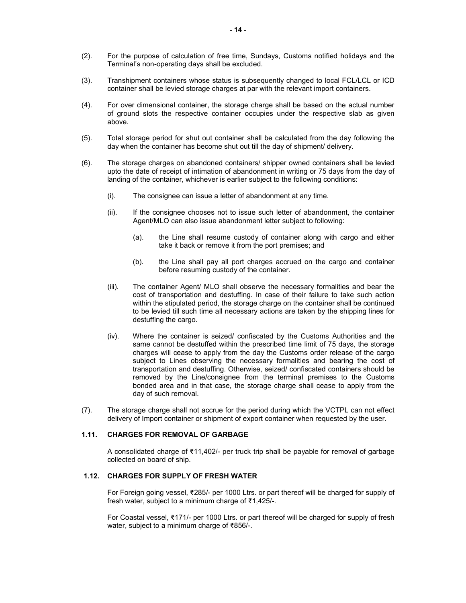- (2). For the purpose of calculation of free time, Sundays, Customs notified holidays and the Terminal's non-operating days shall be excluded.
- (3). Transhipment containers whose status is subsequently changed to local FCL/LCL or ICD container shall be levied storage charges at par with the relevant import containers.
- (4). For over dimensional container, the storage charge shall be based on the actual number of ground slots the respective container occupies under the respective slab as given above.
- (5). Total storage period for shut out container shall be calculated from the day following the day when the container has become shut out till the day of shipment/ delivery.
- (6). The storage charges on abandoned containers/ shipper owned containers shall be levied upto the date of receipt of intimation of abandonment in writing or 75 days from the day of landing of the container, whichever is earlier subject to the following conditions:
	- (i). The consignee can issue a letter of abandonment at any time.
	- (ii). If the consignee chooses not to issue such letter of abandonment, the container Agent/MLO can also issue abandonment letter subject to following:
		- (a). the Line shall resume custody of container along with cargo and either take it back or remove it from the port premises; and
		- (b). the Line shall pay all port charges accrued on the cargo and container before resuming custody of the container.
	- (iii). The container Agent/ MLO shall observe the necessary formalities and bear the cost of transportation and destuffing. In case of their failure to take such action within the stipulated period, the storage charge on the container shall be continued to be levied till such time all necessary actions are taken by the shipping lines for destuffing the cargo.
	- (iv). Where the container is seized/ confiscated by the Customs Authorities and the same cannot be destuffed within the prescribed time limit of 75 days, the storage charges will cease to apply from the day the Customs order release of the cargo subject to Lines observing the necessary formalities and bearing the cost of transportation and destuffing. Otherwise, seized/ confiscated containers should be removed by the Line/consignee from the terminal premises to the Customs bonded area and in that case, the storage charge shall cease to apply from the day of such removal.
- (7). The storage charge shall not accrue for the period during which the VCTPL can not effect delivery of Import container or shipment of export container when requested by the user.

#### 1.11. CHARGES FOR REMOVAL OF GARBAGE

A consolidated charge of ₹11,402/- per truck trip shall be payable for removal of garbage collected on board of ship.

#### 1.12. CHARGES FOR SUPPLY OF FRESH WATER

For Foreign going vessel, ₹285/- per 1000 Ltrs. or part thereof will be charged for supply of fresh water, subject to a minimum charge of ₹1,425/-.

 For Coastal vessel, ₹171/- per 1000 Ltrs. or part thereof will be charged for supply of fresh water, subject to a minimum charge of ₹856/-.